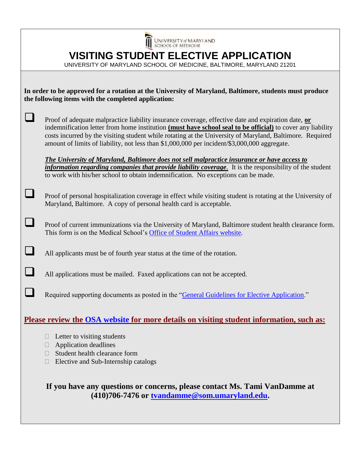|                                                                                                                                                               | UNIVERSITY of MARYLAND                                                                                                                                                                                                                                                                                                                                                                                                       |
|---------------------------------------------------------------------------------------------------------------------------------------------------------------|------------------------------------------------------------------------------------------------------------------------------------------------------------------------------------------------------------------------------------------------------------------------------------------------------------------------------------------------------------------------------------------------------------------------------|
|                                                                                                                                                               | <b>VISITING STUDENT ELECTIVE APPLICATION</b>                                                                                                                                                                                                                                                                                                                                                                                 |
|                                                                                                                                                               | UNIVERSITY OF MARYLAND SCHOOL OF MEDICINE, BALTIMORE, MARYLAND 21201                                                                                                                                                                                                                                                                                                                                                         |
|                                                                                                                                                               |                                                                                                                                                                                                                                                                                                                                                                                                                              |
| In order to be approved for a rotation at the University of Maryland, Baltimore, students must produce<br>the following items with the completed application: |                                                                                                                                                                                                                                                                                                                                                                                                                              |
|                                                                                                                                                               |                                                                                                                                                                                                                                                                                                                                                                                                                              |
|                                                                                                                                                               | Proof of adequate malpractice liability insurance coverage, effective date and expiration date, or<br>indemnification letter from home institution (must have school seal to be official) to cover any liability<br>costs incurred by the visiting student while rotating at the University of Maryland, Baltimore. Required<br>amount of limits of liability, not less than \$1,000,000 per incident/\$3,000,000 aggregate. |
|                                                                                                                                                               | The University of Maryland, Baltimore does not sell malpractice insurance or have access to<br><i>information regarding companies that provide liability coverage</i> . It is the responsibility of the student<br>to work with his/her school to obtain indemnification. No exceptions can be made.                                                                                                                         |
|                                                                                                                                                               |                                                                                                                                                                                                                                                                                                                                                                                                                              |
|                                                                                                                                                               | Proof of personal hospitalization coverage in effect while visiting student is rotating at the University of<br>Maryland, Baltimore. A copy of personal health card is acceptable.                                                                                                                                                                                                                                           |
|                                                                                                                                                               | Proof of current immunizations via the University of Maryland, Baltimore student health clearance form.<br>This form is on the Medical School's Office of Student Affairs website.                                                                                                                                                                                                                                           |
|                                                                                                                                                               | All applicants must be of fourth year status at the time of the rotation.                                                                                                                                                                                                                                                                                                                                                    |
|                                                                                                                                                               | All applications must be mailed. Faxed applications can not be accepted.                                                                                                                                                                                                                                                                                                                                                     |
|                                                                                                                                                               | Required supporting documents as posted in the "General Guidelines for Elective Application."                                                                                                                                                                                                                                                                                                                                |
| <u>Please review the OSA website for more details on visiting student information, such as:</u>                                                               |                                                                                                                                                                                                                                                                                                                                                                                                                              |
|                                                                                                                                                               | Letter to visiting students<br>Application deadlines<br>$\mathbf{L}$<br>Student health clearance form<br>Elective and Sub-Internship catalogs                                                                                                                                                                                                                                                                                |

 $\blacktriangle$ 

**If you have any questions or concerns, please contact Ms. Tami VanDamme at (410)706-7476 or [tvandamme@som.umaryland.edu.](mailto:tvandamme@som.umaryland.edu)**